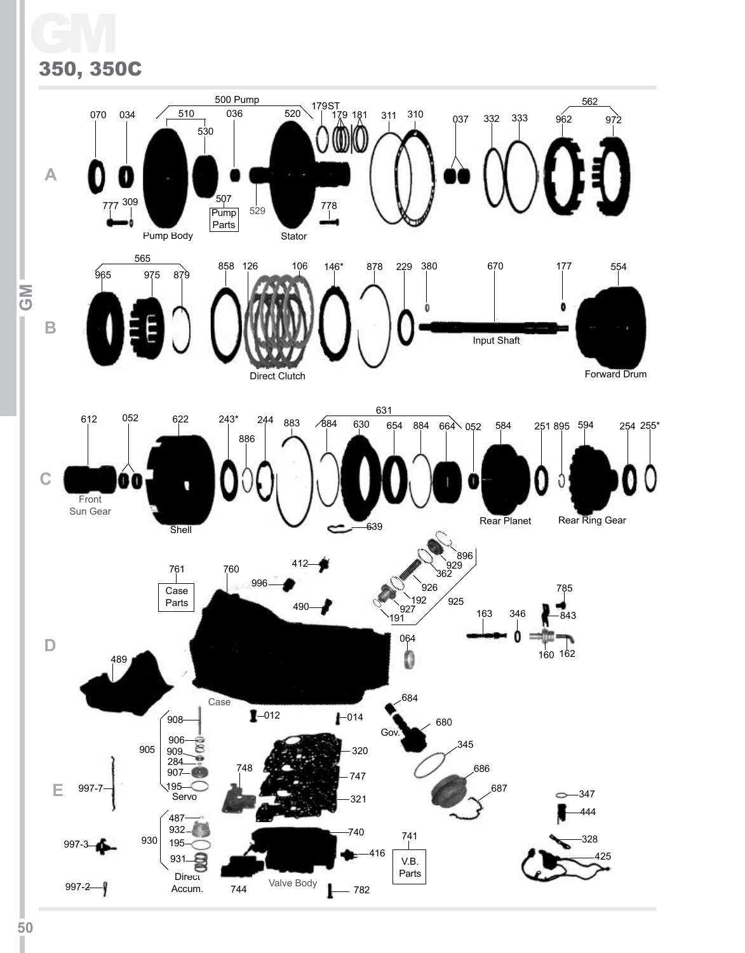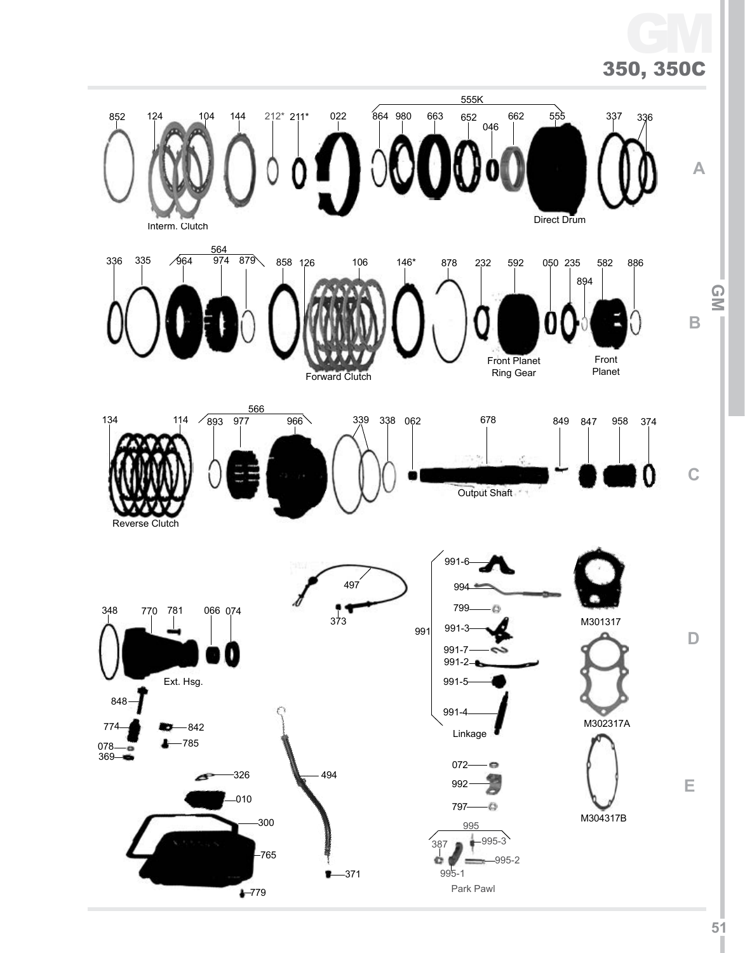# 350, 350C GM

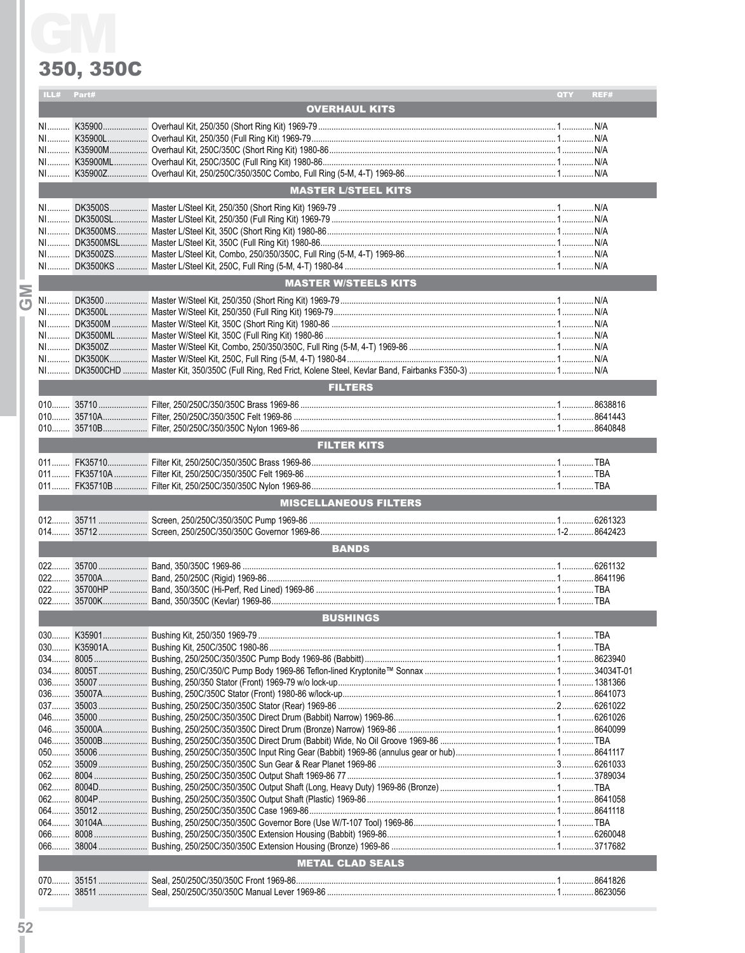|        | ILL# Part# |                              | QTY | REF# |
|--------|------------|------------------------------|-----|------|
|        |            | <b>OVERHAUL KITS</b>         |     |      |
|        |            |                              |     |      |
|        |            |                              |     |      |
|        |            |                              |     |      |
|        |            |                              |     |      |
|        |            |                              |     |      |
|        |            | <b>MASTER L/STEEL KITS</b>   |     |      |
|        |            |                              |     |      |
|        |            |                              |     |      |
|        |            |                              |     |      |
|        |            |                              |     |      |
|        |            |                              |     |      |
|        |            |                              |     |      |
|        |            | <b>MASTER W/STEELS KITS</b>  |     |      |
| ا<br>ت |            |                              |     |      |
|        |            |                              |     |      |
|        |            |                              |     |      |
|        |            |                              |     |      |
|        |            |                              |     |      |
|        |            |                              |     |      |
|        |            |                              |     |      |
|        |            | <b>FILTERS</b>               |     |      |
|        |            |                              |     |      |
|        |            |                              |     |      |
|        |            |                              |     |      |
|        |            | <b>FILTER KITS</b>           |     |      |
|        |            |                              |     |      |
|        |            |                              |     |      |
|        |            |                              |     |      |
|        |            |                              |     |      |
|        |            |                              |     |      |
|        |            | <b>MISCELLANEOUS FILTERS</b> |     |      |
|        |            |                              |     |      |
|        |            |                              |     |      |
|        |            | <b>BANDS</b>                 |     |      |
|        |            |                              |     |      |
|        |            |                              |     |      |
|        |            |                              |     |      |
|        |            |                              |     |      |
|        |            | <b>BUSHINGS</b>              |     |      |
|        |            |                              |     |      |
|        | $030$      |                              |     |      |
|        |            |                              |     |      |
|        |            |                              |     |      |
|        |            |                              |     |      |
|        |            |                              |     |      |
|        |            |                              |     |      |
|        |            |                              |     |      |
|        |            |                              |     |      |
|        |            |                              |     |      |
|        | $052$      |                              |     |      |
|        |            |                              |     |      |
|        |            |                              |     |      |
|        |            |                              |     |      |
|        |            |                              |     |      |
|        | $064$      |                              |     |      |
|        |            |                              |     |      |
|        |            |                              |     |      |
|        |            | <b>METAL CLAD SEALS</b>      |     |      |
|        | $072$      |                              |     |      |

 $\overline{52}$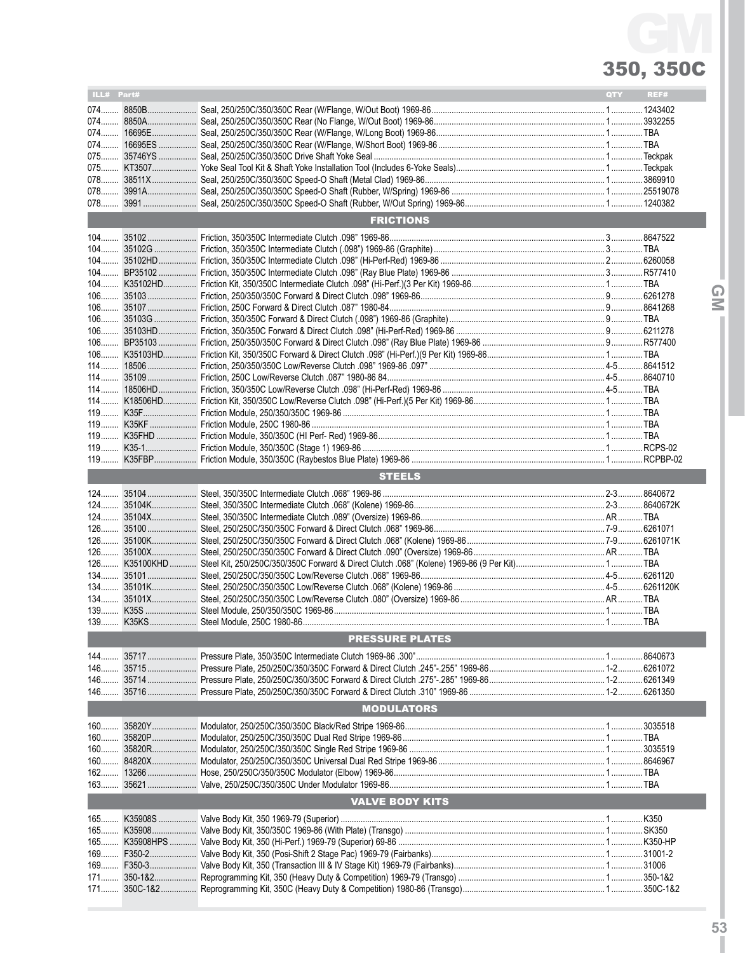# 350, 350C GM

| ILL# Part# |           |                        | QTY | REF# |
|------------|-----------|------------------------|-----|------|
|            | 074 8850B |                        |     |      |
|            |           |                        |     |      |
|            |           |                        |     |      |
|            |           |                        |     |      |
|            |           |                        |     |      |
|            |           |                        |     |      |
|            |           |                        |     |      |
|            |           |                        |     |      |
| 078        |           |                        |     |      |
|            |           | <b>FRICTIONS</b>       |     |      |
|            |           |                        |     |      |
|            |           |                        |     |      |
|            |           |                        |     |      |
|            |           |                        |     |      |
|            |           |                        |     |      |
|            |           |                        |     |      |
|            |           |                        |     |      |
|            |           |                        |     |      |
|            |           |                        |     |      |
|            |           |                        |     |      |
|            |           |                        |     |      |
|            |           |                        |     |      |
|            |           |                        |     |      |
|            |           |                        |     |      |
|            |           |                        |     |      |
|            |           |                        |     |      |
|            |           |                        |     |      |
|            |           |                        |     |      |
|            |           |                        |     |      |
|            |           |                        |     |      |
|            |           | <b>STEELS</b>          |     |      |
|            |           |                        |     |      |
|            |           |                        |     |      |
|            |           |                        |     |      |
|            |           |                        |     |      |
|            |           |                        |     |      |
|            |           |                        |     |      |
|            |           |                        |     |      |
|            |           |                        |     |      |
|            |           |                        |     |      |
|            |           |                        |     |      |
|            |           |                        |     |      |
|            |           |                        |     |      |
|            |           | <b>PRESSURE PLATES</b> |     |      |
|            |           |                        |     |      |
|            |           |                        |     |      |
|            |           |                        |     |      |
|            |           |                        |     |      |
|            |           | <b>MODULATORS</b>      |     |      |
| 160        |           |                        |     |      |
| $160$      |           |                        |     |      |
|            |           |                        |     |      |
|            |           |                        |     |      |
|            |           |                        |     |      |
|            |           |                        |     |      |
|            |           | <b>VALVE BODY KITS</b> |     |      |
|            |           |                        |     |      |
|            |           |                        |     |      |
|            |           |                        |     |      |
|            |           |                        |     |      |
|            |           |                        |     |      |
| 171        |           |                        |     |      |
|            |           |                        |     |      |
|            |           |                        |     |      |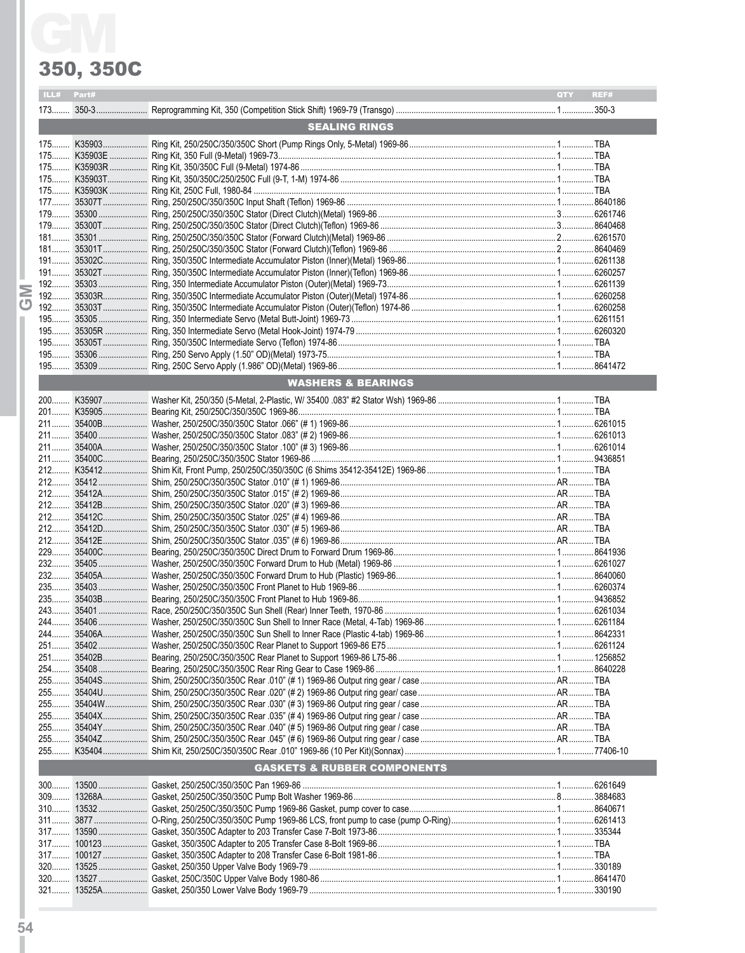|       |            | 350, 350C                              |     |      |
|-------|------------|----------------------------------------|-----|------|
|       | ILL# Part# |                                        | QTY | REF# |
|       |            |                                        |     |      |
|       |            | <b>SEALING RINGS</b>                   |     |      |
|       |            |                                        |     |      |
|       |            |                                        |     |      |
|       |            |                                        |     |      |
|       |            |                                        |     |      |
|       |            |                                        |     |      |
|       |            |                                        |     |      |
|       |            |                                        |     |      |
|       |            |                                        |     |      |
|       |            |                                        |     |      |
|       |            |                                        |     |      |
|       |            |                                        |     |      |
|       |            |                                        |     |      |
|       |            |                                        |     |      |
|       |            |                                        |     |      |
|       |            |                                        |     |      |
|       |            |                                        |     |      |
|       |            |                                        |     |      |
|       |            |                                        |     |      |
|       |            | <b>WASHERS &amp; BEARINGS</b>          |     |      |
|       |            |                                        |     |      |
|       |            |                                        |     |      |
|       |            |                                        |     |      |
|       |            |                                        |     |      |
|       |            |                                        |     |      |
|       |            |                                        |     |      |
|       |            |                                        |     |      |
|       |            |                                        |     |      |
|       |            |                                        |     |      |
|       |            |                                        |     |      |
|       |            |                                        |     |      |
|       |            |                                        |     |      |
|       |            |                                        |     |      |
|       |            |                                        |     |      |
|       |            |                                        |     |      |
|       |            |                                        |     |      |
|       |            |                                        |     |      |
|       |            |                                        |     |      |
|       |            |                                        |     |      |
|       |            |                                        |     |      |
|       |            |                                        |     |      |
|       |            |                                        |     |      |
|       |            |                                        |     |      |
|       |            |                                        |     |      |
|       |            |                                        |     |      |
|       |            |                                        |     |      |
|       |            |                                        |     |      |
|       |            |                                        |     |      |
|       |            |                                        |     |      |
|       |            | <b>GASKETS &amp; RUBBER COMPONENTS</b> |     |      |
|       |            |                                        |     |      |
| $309$ |            |                                        |     |      |
|       |            |                                        |     |      |
|       |            |                                        |     |      |
|       |            |                                        |     |      |
| $317$ |            |                                        |     |      |
| $320$ |            |                                        |     |      |
|       |            |                                        |     |      |
|       |            |                                        |     |      |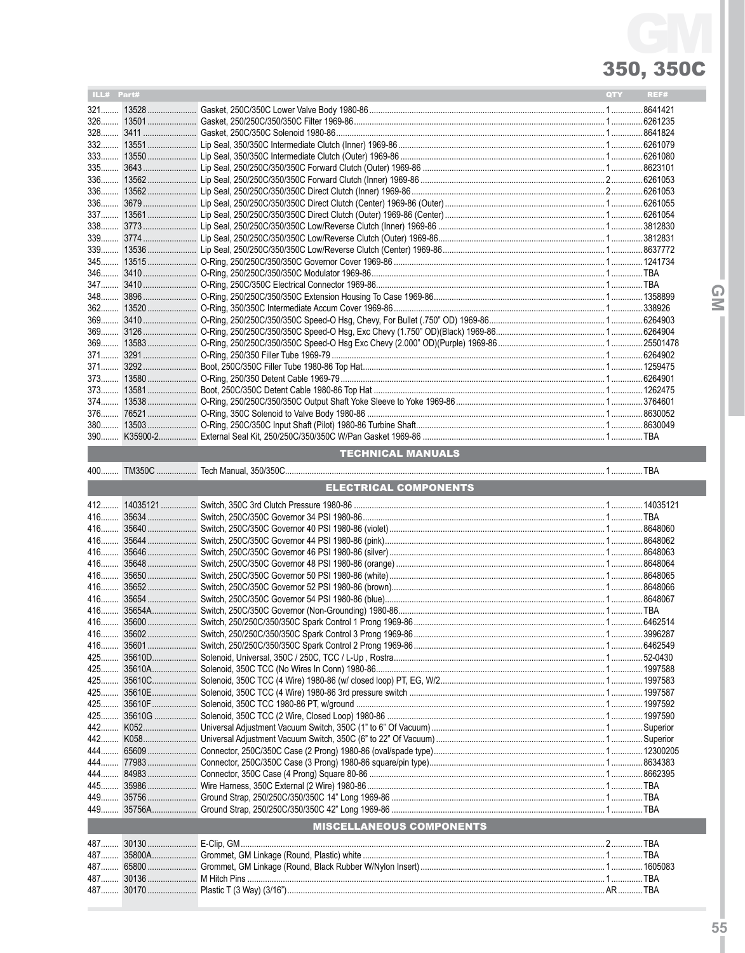| $ILL#$ Part# |  | QTY | REF#     |
|--------------|--|-----|----------|
|              |  |     | .8641421 |
|              |  |     |          |
|              |  |     |          |
|              |  |     |          |
|              |  |     |          |
|              |  |     |          |
|              |  |     |          |
|              |  |     |          |
|              |  |     |          |
|              |  |     |          |
|              |  |     |          |
|              |  |     |          |
|              |  |     |          |
|              |  |     |          |
|              |  |     |          |
|              |  |     |          |
|              |  |     |          |
|              |  |     |          |
|              |  |     |          |
|              |  |     |          |
|              |  |     |          |
|              |  |     |          |
|              |  |     |          |
|              |  |     |          |
|              |  |     |          |
|              |  |     |          |
|              |  |     |          |
| $380$        |  |     |          |
|              |  |     |          |

#### **TECHNICAL MANUALS**

|     | <b>ELECTRICAL COMPONENTS</b> |                                 |  |  |  |  |  |
|-----|------------------------------|---------------------------------|--|--|--|--|--|
|     |                              |                                 |  |  |  |  |  |
|     |                              |                                 |  |  |  |  |  |
|     |                              |                                 |  |  |  |  |  |
|     |                              |                                 |  |  |  |  |  |
|     |                              |                                 |  |  |  |  |  |
|     |                              |                                 |  |  |  |  |  |
|     |                              |                                 |  |  |  |  |  |
|     |                              |                                 |  |  |  |  |  |
|     |                              |                                 |  |  |  |  |  |
|     |                              |                                 |  |  |  |  |  |
|     |                              |                                 |  |  |  |  |  |
|     |                              |                                 |  |  |  |  |  |
|     |                              |                                 |  |  |  |  |  |
|     |                              |                                 |  |  |  |  |  |
|     |                              |                                 |  |  |  |  |  |
|     |                              |                                 |  |  |  |  |  |
|     |                              |                                 |  |  |  |  |  |
|     |                              |                                 |  |  |  |  |  |
|     |                              |                                 |  |  |  |  |  |
|     |                              |                                 |  |  |  |  |  |
|     |                              |                                 |  |  |  |  |  |
|     |                              |                                 |  |  |  |  |  |
| 444 |                              |                                 |  |  |  |  |  |
|     |                              |                                 |  |  |  |  |  |
|     |                              |                                 |  |  |  |  |  |
| 449 |                              |                                 |  |  |  |  |  |
|     |                              |                                 |  |  |  |  |  |
|     |                              | <b>MISCELLANEOUS COMPONENTS</b> |  |  |  |  |  |
|     |                              |                                 |  |  |  |  |  |
|     |                              |                                 |  |  |  |  |  |
|     |                              |                                 |  |  |  |  |  |
|     |                              |                                 |  |  |  |  |  |

 $\overline{Q}$ 

........AR ..........TBA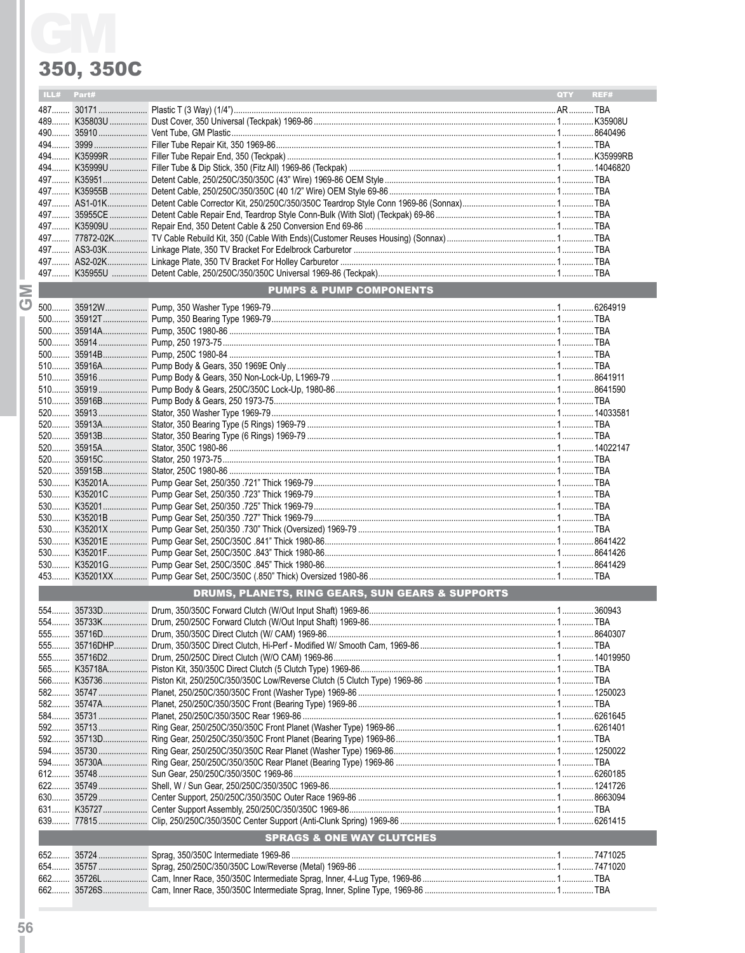

|                                                  | ILL# | Part# |                                      | QTY | REF# |
|--------------------------------------------------|------|-------|--------------------------------------|-----|------|
|                                                  |      |       |                                      |     |      |
|                                                  |      |       |                                      |     |      |
|                                                  |      |       |                                      |     |      |
|                                                  |      |       |                                      |     |      |
|                                                  |      |       |                                      |     |      |
|                                                  |      |       |                                      |     |      |
|                                                  |      |       |                                      |     |      |
|                                                  |      |       |                                      |     |      |
|                                                  |      |       |                                      |     |      |
|                                                  |      |       |                                      |     |      |
|                                                  |      |       |                                      |     |      |
|                                                  |      |       |                                      |     |      |
|                                                  |      |       |                                      |     |      |
|                                                  |      |       |                                      |     |      |
| $\geq$                                           |      |       | <b>PUMPS &amp; PUMP COMPONENTS</b>   |     |      |
| $\circ$                                          |      |       |                                      |     |      |
|                                                  |      |       |                                      |     |      |
|                                                  |      |       |                                      |     |      |
|                                                  |      |       |                                      |     |      |
|                                                  |      |       |                                      |     |      |
|                                                  |      |       |                                      |     |      |
|                                                  |      |       |                                      |     |      |
|                                                  |      |       |                                      |     |      |
|                                                  |      |       |                                      |     |      |
|                                                  |      |       |                                      |     |      |
|                                                  |      |       |                                      |     |      |
|                                                  |      |       |                                      |     |      |
|                                                  |      |       |                                      |     |      |
|                                                  |      |       |                                      |     |      |
|                                                  |      |       |                                      |     |      |
|                                                  |      |       |                                      |     |      |
|                                                  |      |       |                                      |     |      |
|                                                  |      |       |                                      |     |      |
|                                                  |      |       |                                      |     |      |
|                                                  |      |       |                                      |     |      |
|                                                  |      |       |                                      |     |      |
|                                                  |      |       |                                      |     |      |
|                                                  |      |       |                                      |     |      |
| DRUMS, PLANETS, RING GEARS, SUN GEARS & SUPPORTS |      |       |                                      |     |      |
|                                                  |      |       |                                      |     |      |
|                                                  |      |       |                                      |     |      |
|                                                  |      |       |                                      |     |      |
|                                                  |      |       |                                      |     |      |
|                                                  | 555  |       |                                      |     |      |
|                                                  |      |       |                                      |     |      |
|                                                  |      |       |                                      |     |      |
|                                                  |      |       |                                      |     |      |
|                                                  |      |       |                                      |     |      |
|                                                  |      |       |                                      |     |      |
|                                                  |      |       |                                      |     |      |
|                                                  |      |       |                                      |     |      |
|                                                  |      |       |                                      |     |      |
|                                                  |      |       |                                      |     |      |
|                                                  |      |       |                                      |     |      |
|                                                  |      |       |                                      |     |      |
|                                                  |      |       |                                      |     |      |
|                                                  |      |       |                                      |     |      |
|                                                  |      |       | <b>SPRAGS &amp; ONE WAY CLUTCHES</b> |     |      |
|                                                  |      |       |                                      |     |      |
|                                                  |      |       |                                      |     |      |
|                                                  |      |       |                                      |     |      |
|                                                  |      |       |                                      |     |      |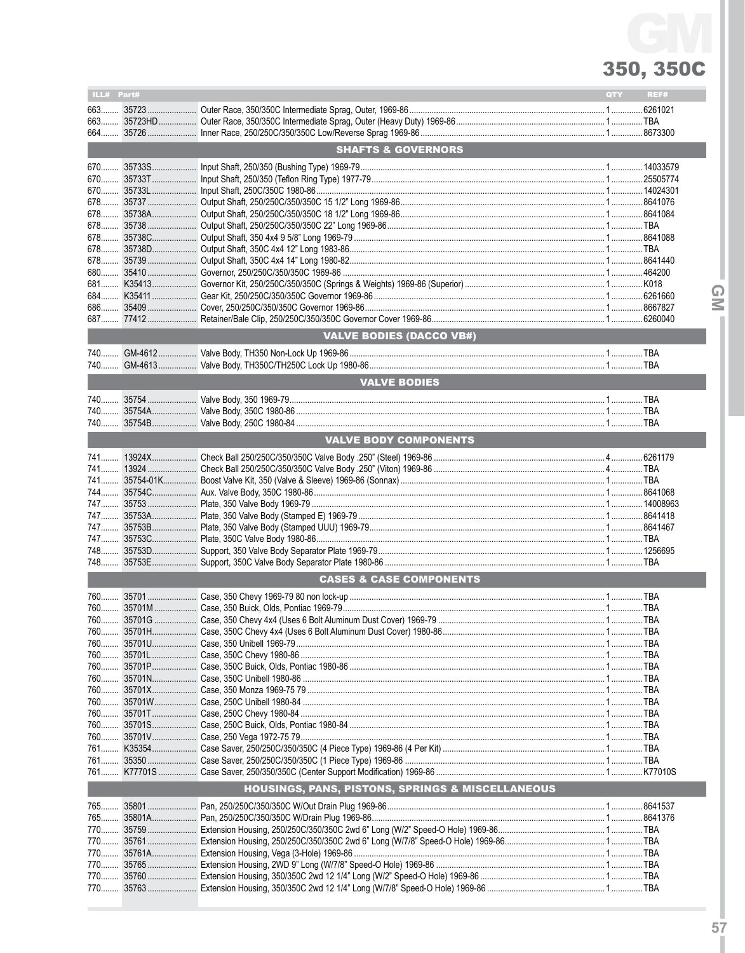QM

| ILL# Part# |                                                                                                              | <b>QTY</b> | REF# |
|------------|--------------------------------------------------------------------------------------------------------------|------------|------|
|            |                                                                                                              |            |      |
|            |                                                                                                              |            |      |
|            |                                                                                                              |            |      |
|            | <b>SHAFTS &amp; GOVERNORS</b>                                                                                |            |      |
|            |                                                                                                              |            |      |
|            |                                                                                                              |            |      |
|            |                                                                                                              |            |      |
|            |                                                                                                              |            |      |
|            |                                                                                                              |            |      |
|            |                                                                                                              |            |      |
|            |                                                                                                              |            |      |
|            |                                                                                                              |            |      |
|            |                                                                                                              |            |      |
|            |                                                                                                              |            |      |
|            |                                                                                                              |            |      |
|            |                                                                                                              |            |      |
|            |                                                                                                              |            |      |
|            | <b>VALVE BODIES (DACCO VB#)</b>                                                                              |            |      |
|            |                                                                                                              |            |      |
|            |                                                                                                              |            |      |
|            | <b>VALVE BODIES</b>                                                                                          |            |      |
|            |                                                                                                              |            |      |
|            |                                                                                                              |            |      |
|            |                                                                                                              |            |      |
|            | <b>VALVE BODY COMPONENTS</b>                                                                                 |            |      |
|            |                                                                                                              |            |      |
|            |                                                                                                              |            |      |
|            |                                                                                                              |            |      |
|            |                                                                                                              |            |      |
|            |                                                                                                              |            |      |
|            |                                                                                                              |            |      |
|            |                                                                                                              |            |      |
|            |                                                                                                              |            |      |
|            |                                                                                                              |            |      |
|            |                                                                                                              |            |      |
|            | <b>CASES &amp; CASE COMPONENTS</b>                                                                           |            |      |
|            |                                                                                                              |            |      |
|            |                                                                                                              |            |      |
|            |                                                                                                              |            |      |
|            |                                                                                                              |            |      |
|            |                                                                                                              |            |      |
|            |                                                                                                              |            |      |
|            |                                                                                                              |            |      |
|            |                                                                                                              |            |      |
|            |                                                                                                              |            |      |
|            |                                                                                                              |            |      |
|            |                                                                                                              |            |      |
|            |                                                                                                              |            |      |
|            |                                                                                                              |            |      |
|            | 761 35350…………………… Саѕе Saver, 250/250С/350/350С (1 Piece Type) 1969-86 ……………………………………………………………………………………… ТВА |            |      |
|            | <b>HOUSINGS, PANS, PISTONS, SPRINGS &amp; MISCELLANEOUS</b>                                                  |            |      |
|            |                                                                                                              |            |      |
| 765        |                                                                                                              |            |      |
| 765<br>770 |                                                                                                              |            |      |
|            |                                                                                                              |            |      |
|            |                                                                                                              |            |      |
|            |                                                                                                              |            |      |
|            |                                                                                                              |            |      |
|            |                                                                                                              |            |      |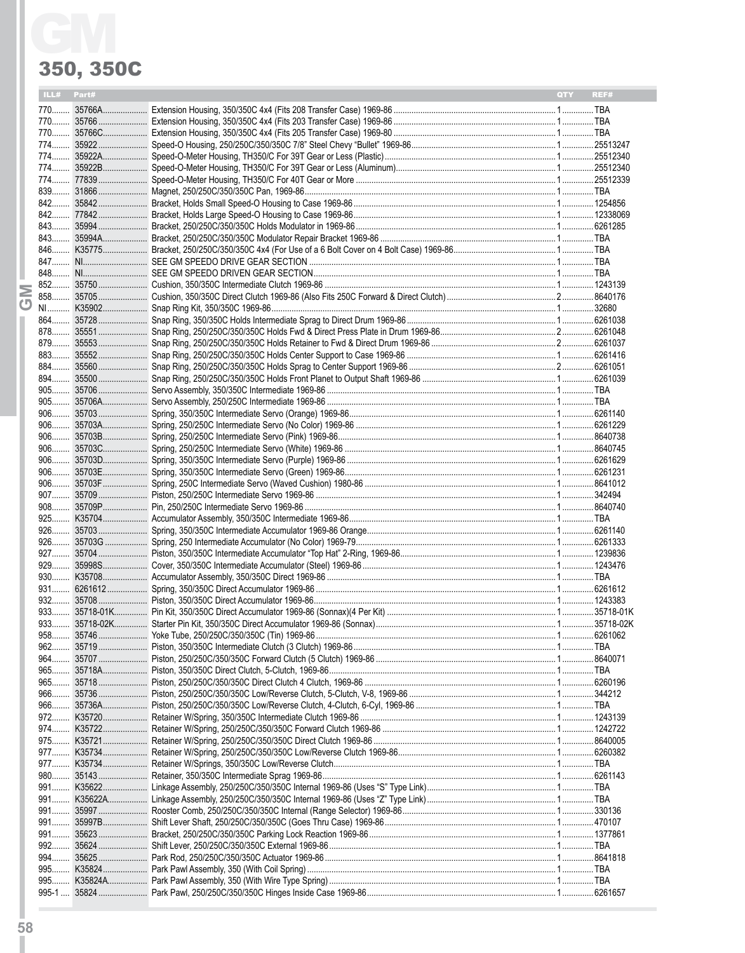| ILL# Part# | QTY<br>REF# |
|------------|-------------|
|            |             |
|            |             |
|            |             |
|            |             |
|            |             |
|            |             |
|            |             |
|            |             |
|            |             |
|            |             |
|            |             |
|            |             |
|            |             |
|            |             |
|            |             |
|            |             |
|            |             |
|            |             |
|            |             |
|            |             |
|            |             |
|            |             |
|            |             |
|            |             |
|            |             |
|            |             |
|            |             |
|            |             |
|            |             |
|            |             |
|            |             |
|            |             |
|            |             |
|            |             |
|            |             |
|            |             |
|            |             |
|            |             |
|            |             |
|            |             |
|            |             |
|            |             |
|            |             |
|            |             |
|            |             |
|            |             |
|            |             |
|            |             |
|            |             |
|            |             |
|            |             |
|            |             |
|            |             |
|            |             |
|            |             |
|            |             |
|            |             |
|            |             |
|            |             |
|            |             |
|            |             |
|            |             |
|            |             |
|            |             |
|            |             |
|            |             |